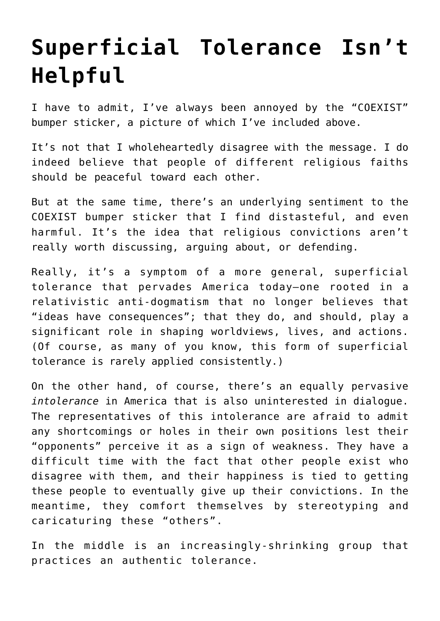## **[Superficial Tolerance Isn't](https://intellectualtakeout.org/2016/06/superficial-tolerance-isnt-helpful/) [Helpful](https://intellectualtakeout.org/2016/06/superficial-tolerance-isnt-helpful/)**

I have to admit, I've always been annoyed by the "COEXIST" bumper sticker, a picture of which I've included above.

It's not that I wholeheartedly disagree with the message. I do indeed believe that people of different religious faiths should be peaceful toward each other.

But at the same time, there's an underlying sentiment to the COEXIST bumper sticker that I find distasteful, and even harmful. It's the idea that religious convictions aren't really worth discussing, arguing about, or defending.

Really, it's a symptom of a more general, superficial tolerance that pervades America today—one rooted in a relativistic anti-dogmatism that no longer believes that "ideas have consequences"; that they do, and should, play a significant role in shaping worldviews, lives, and actions. (Of course, as many of you know, this form of superficial tolerance is rarely applied consistently.)

On the other hand, of course, there's an equally pervasive *intolerance* in America that is also uninterested in dialogue. The representatives of this intolerance are afraid to admit any shortcomings or holes in their own positions lest their "opponents" perceive it as a sign of weakness. They have a difficult time with the fact that other people exist who disagree with them, and their happiness is tied to getting these people to eventually give up their convictions. In the meantime, they comfort themselves by stereotyping and caricaturing these "others".

In the middle is an increasingly-shrinking group that practices an authentic tolerance.